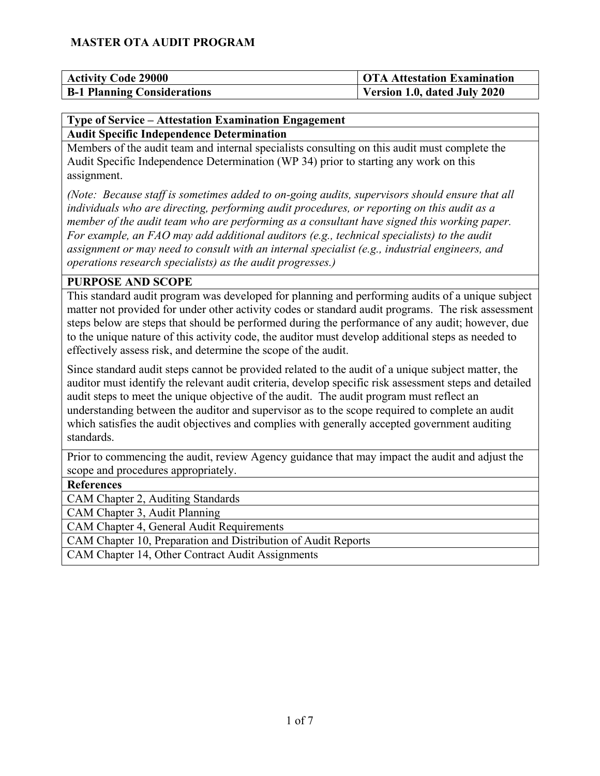| <b>Activity Code 29000</b>         | <b>OTA Attestation Examination</b> |
|------------------------------------|------------------------------------|
| <b>B-1 Planning Considerations</b> | Version 1.0, dated July 2020       |

#### **Type of Service – Attestation Examination Engagement Audit Specific Independence Determination**

Members of the audit team and internal specialists consulting on this audit must complete the Audit Specific Independence Determination (WP 34) prior to starting any work on this assignment.

*(Note: Because staff is sometimes added to on-going audits, supervisors should ensure that all individuals who are directing, performing audit procedures, or reporting on this audit as a member of the audit team who are performing as a consultant have signed this working paper. For example, an FAO may add additional auditors (e.g., technical specialists) to the audit assignment or may need to consult with an internal specialist (e.g., industrial engineers, and operations research specialists) as the audit progresses.)*

#### **PURPOSE AND SCOPE**

This standard audit program was developed for planning and performing audits of a unique subject matter not provided for under other activity codes or standard audit programs. The risk assessment steps below are steps that should be performed during the performance of any audit; however, due to the unique nature of this activity code, the auditor must develop additional steps as needed to effectively assess risk, and determine the scope of the audit.

Since standard audit steps cannot be provided related to the audit of a unique subject matter, the auditor must identify the relevant audit criteria, develop specific risk assessment steps and detailed audit steps to meet the unique objective of the audit. The audit program must reflect an understanding between the auditor and supervisor as to the scope required to complete an audit which satisfies the audit objectives and complies with generally accepted government auditing standards.

Prior to commencing the audit, review Agency guidance that may impact the audit and adjust the scope and procedures appropriately.

#### **References**

CAM Chapter 2, Auditing Standards

CAM Chapter 3, Audit Planning

CAM Chapter 4, General Audit Requirements

CAM Chapter 10, Preparation and Distribution of Audit Reports

CAM Chapter 14, Other Contract Audit Assignments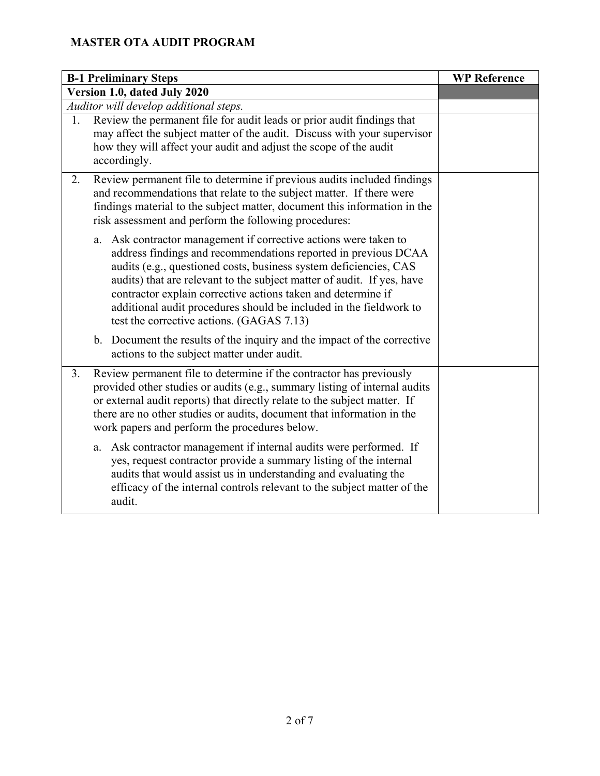|    | <b>B-1 Preliminary Steps</b>                                                                                                                                                                                                                                                                                                                                                                                                                                            | <b>WP Reference</b> |
|----|-------------------------------------------------------------------------------------------------------------------------------------------------------------------------------------------------------------------------------------------------------------------------------------------------------------------------------------------------------------------------------------------------------------------------------------------------------------------------|---------------------|
|    | Version 1.0, dated July 2020                                                                                                                                                                                                                                                                                                                                                                                                                                            |                     |
|    | Auditor will develop additional steps.                                                                                                                                                                                                                                                                                                                                                                                                                                  |                     |
| 1. | Review the permanent file for audit leads or prior audit findings that<br>may affect the subject matter of the audit. Discuss with your supervisor<br>how they will affect your audit and adjust the scope of the audit<br>accordingly.                                                                                                                                                                                                                                 |                     |
| 2. | Review permanent file to determine if previous audits included findings<br>and recommendations that relate to the subject matter. If there were<br>findings material to the subject matter, document this information in the<br>risk assessment and perform the following procedures:                                                                                                                                                                                   |                     |
|    | Ask contractor management if corrective actions were taken to<br>a.<br>address findings and recommendations reported in previous DCAA<br>audits (e.g., questioned costs, business system deficiencies, CAS<br>audits) that are relevant to the subject matter of audit. If yes, have<br>contractor explain corrective actions taken and determine if<br>additional audit procedures should be included in the fieldwork to<br>test the corrective actions. (GAGAS 7.13) |                     |
|    | b. Document the results of the inquiry and the impact of the corrective<br>actions to the subject matter under audit.                                                                                                                                                                                                                                                                                                                                                   |                     |
| 3. | Review permanent file to determine if the contractor has previously<br>provided other studies or audits (e.g., summary listing of internal audits<br>or external audit reports) that directly relate to the subject matter. If<br>there are no other studies or audits, document that information in the<br>work papers and perform the procedures below.                                                                                                               |                     |
|    | a. Ask contractor management if internal audits were performed. If<br>yes, request contractor provide a summary listing of the internal<br>audits that would assist us in understanding and evaluating the<br>efficacy of the internal controls relevant to the subject matter of the<br>audit.                                                                                                                                                                         |                     |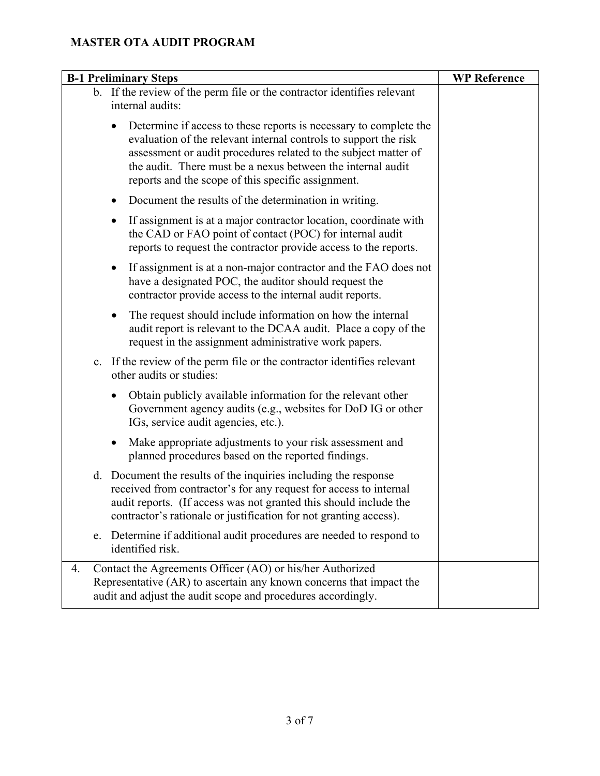| <b>B-1 Preliminary Steps</b>                                                                                                                                                                                                                                                                                                  | <b>WP Reference</b> |
|-------------------------------------------------------------------------------------------------------------------------------------------------------------------------------------------------------------------------------------------------------------------------------------------------------------------------------|---------------------|
| b. If the review of the perm file or the contractor identifies relevant<br>internal audits:                                                                                                                                                                                                                                   |                     |
| Determine if access to these reports is necessary to complete the<br>evaluation of the relevant internal controls to support the risk<br>assessment or audit procedures related to the subject matter of<br>the audit. There must be a nexus between the internal audit<br>reports and the scope of this specific assignment. |                     |
| Document the results of the determination in writing.                                                                                                                                                                                                                                                                         |                     |
| If assignment is at a major contractor location, coordinate with<br>the CAD or FAO point of contact (POC) for internal audit<br>reports to request the contractor provide access to the reports.                                                                                                                              |                     |
| If assignment is at a non-major contractor and the FAO does not<br>have a designated POC, the auditor should request the<br>contractor provide access to the internal audit reports.                                                                                                                                          |                     |
| The request should include information on how the internal<br>٠<br>audit report is relevant to the DCAA audit. Place a copy of the<br>request in the assignment administrative work papers.                                                                                                                                   |                     |
| c. If the review of the perm file or the contractor identifies relevant<br>other audits or studies:                                                                                                                                                                                                                           |                     |
| Obtain publicly available information for the relevant other<br>$\bullet$<br>Government agency audits (e.g., websites for DoD IG or other<br>IGs, service audit agencies, etc.).                                                                                                                                              |                     |
| Make appropriate adjustments to your risk assessment and<br>$\bullet$<br>planned procedures based on the reported findings.                                                                                                                                                                                                   |                     |
| d. Document the results of the inquiries including the response<br>received from contractor's for any request for access to internal<br>audit reports. (If access was not granted this should include the<br>contractor's rationale or justification for not granting access).                                                |                     |
| Determine if additional audit procedures are needed to respond to<br>e.<br>identified risk.                                                                                                                                                                                                                                   |                     |
| Contact the Agreements Officer (AO) or his/her Authorized<br>4.<br>Representative (AR) to ascertain any known concerns that impact the<br>audit and adjust the audit scope and procedures accordingly.                                                                                                                        |                     |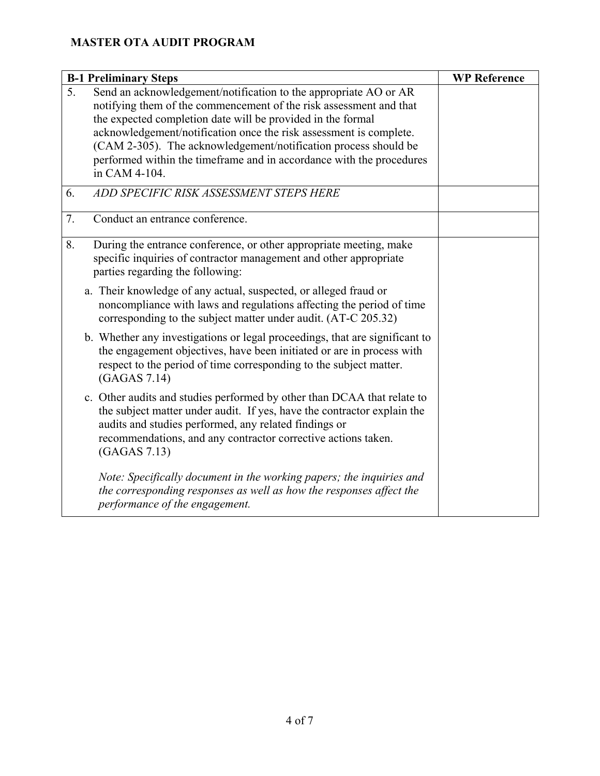| <b>B-1 Preliminary Steps</b>                                                                                                                                                                                                                                                                                                                                                                                                                  | <b>WP Reference</b> |
|-----------------------------------------------------------------------------------------------------------------------------------------------------------------------------------------------------------------------------------------------------------------------------------------------------------------------------------------------------------------------------------------------------------------------------------------------|---------------------|
| 5.<br>Send an acknowledgement/notification to the appropriate AO or AR<br>notifying them of the commencement of the risk assessment and that<br>the expected completion date will be provided in the formal<br>acknowledgement/notification once the risk assessment is complete.<br>(CAM 2-305). The acknowledgement/notification process should be<br>performed within the timeframe and in accordance with the procedures<br>in CAM 4-104. |                     |
| ADD SPECIFIC RISK ASSESSMENT STEPS HERE<br>6.                                                                                                                                                                                                                                                                                                                                                                                                 |                     |
| 7.<br>Conduct an entrance conference.                                                                                                                                                                                                                                                                                                                                                                                                         |                     |
| 8.<br>During the entrance conference, or other appropriate meeting, make<br>specific inquiries of contractor management and other appropriate<br>parties regarding the following:                                                                                                                                                                                                                                                             |                     |
| a. Their knowledge of any actual, suspected, or alleged fraud or<br>noncompliance with laws and regulations affecting the period of time<br>corresponding to the subject matter under audit. (AT-C 205.32)                                                                                                                                                                                                                                    |                     |
| b. Whether any investigations or legal proceedings, that are significant to<br>the engagement objectives, have been initiated or are in process with<br>respect to the period of time corresponding to the subject matter.<br>(GAGAS 7.14)                                                                                                                                                                                                    |                     |
| c. Other audits and studies performed by other than DCAA that relate to<br>the subject matter under audit. If yes, have the contractor explain the<br>audits and studies performed, any related findings or<br>recommendations, and any contractor corrective actions taken.<br>(GAGAS 7.13)                                                                                                                                                  |                     |
| Note: Specifically document in the working papers; the inquiries and<br>the corresponding responses as well as how the responses affect the<br>performance of the engagement.                                                                                                                                                                                                                                                                 |                     |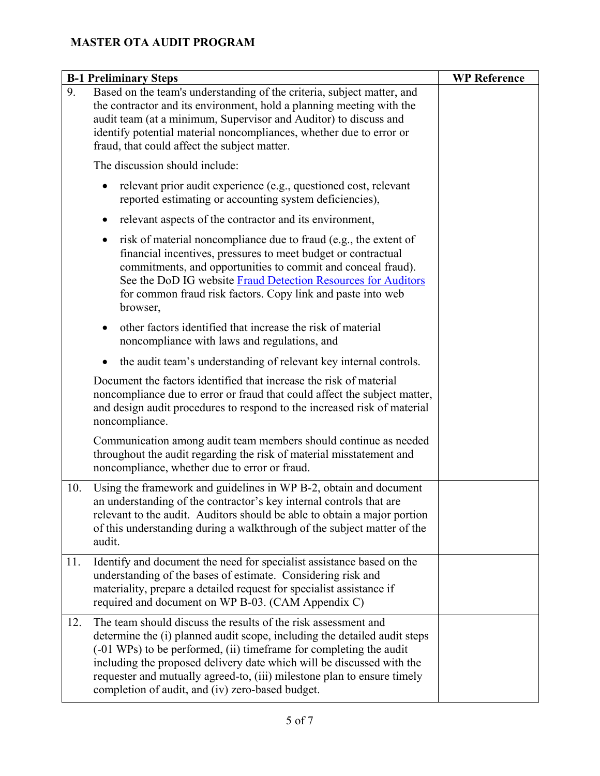|     | <b>B-1 Preliminary Steps</b>                                                                                                                                                                                                                                                                                                                                                                                              | <b>WP Reference</b> |
|-----|---------------------------------------------------------------------------------------------------------------------------------------------------------------------------------------------------------------------------------------------------------------------------------------------------------------------------------------------------------------------------------------------------------------------------|---------------------|
| 9.  | Based on the team's understanding of the criteria, subject matter, and<br>the contractor and its environment, hold a planning meeting with the<br>audit team (at a minimum, Supervisor and Auditor) to discuss and<br>identify potential material noncompliances, whether due to error or<br>fraud, that could affect the subject matter.                                                                                 |                     |
|     | The discussion should include:                                                                                                                                                                                                                                                                                                                                                                                            |                     |
|     | relevant prior audit experience (e.g., questioned cost, relevant<br>reported estimating or accounting system deficiencies),                                                                                                                                                                                                                                                                                               |                     |
|     | relevant aspects of the contractor and its environment,<br>$\bullet$                                                                                                                                                                                                                                                                                                                                                      |                     |
|     | risk of material noncompliance due to fraud (e.g., the extent of<br>٠<br>financial incentives, pressures to meet budget or contractual<br>commitments, and opportunities to commit and conceal fraud).<br>See the DoD IG website Fraud Detection Resources for Auditors<br>for common fraud risk factors. Copy link and paste into web<br>browser,                                                                        |                     |
|     | other factors identified that increase the risk of material<br>noncompliance with laws and regulations, and                                                                                                                                                                                                                                                                                                               |                     |
|     | the audit team's understanding of relevant key internal controls.                                                                                                                                                                                                                                                                                                                                                         |                     |
|     | Document the factors identified that increase the risk of material<br>noncompliance due to error or fraud that could affect the subject matter,<br>and design audit procedures to respond to the increased risk of material<br>noncompliance.                                                                                                                                                                             |                     |
|     | Communication among audit team members should continue as needed<br>throughout the audit regarding the risk of material misstatement and<br>noncompliance, whether due to error or fraud.                                                                                                                                                                                                                                 |                     |
| 10. | Using the framework and guidelines in WP B-2, obtain and document<br>an understanding of the contractor's key internal controls that are<br>relevant to the audit. Auditors should be able to obtain a major portion<br>of this understanding during a walkthrough of the subject matter of the<br>audit.                                                                                                                 |                     |
| 11. | Identify and document the need for specialist assistance based on the<br>understanding of the bases of estimate. Considering risk and<br>materiality, prepare a detailed request for specialist assistance if<br>required and document on WP B-03. (CAM Appendix C)                                                                                                                                                       |                     |
| 12. | The team should discuss the results of the risk assessment and<br>determine the (i) planned audit scope, including the detailed audit steps<br>(-01 WPs) to be performed, (ii) timeframe for completing the audit<br>including the proposed delivery date which will be discussed with the<br>requester and mutually agreed-to, (iii) milestone plan to ensure timely<br>completion of audit, and (iv) zero-based budget. |                     |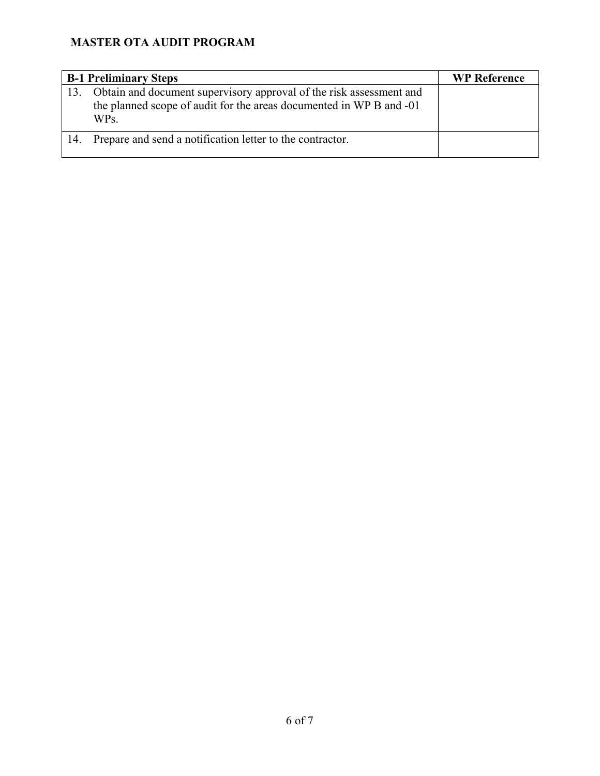|     | <b>B-1 Preliminary Steps</b>                                                                                                                       | <b>WP Reference</b> |
|-----|----------------------------------------------------------------------------------------------------------------------------------------------------|---------------------|
| 13. | Obtain and document supervisory approval of the risk assessment and<br>the planned scope of audit for the areas documented in WP B and -01<br>WPs. |                     |
|     | Prepare and send a notification letter to the contractor.                                                                                          |                     |